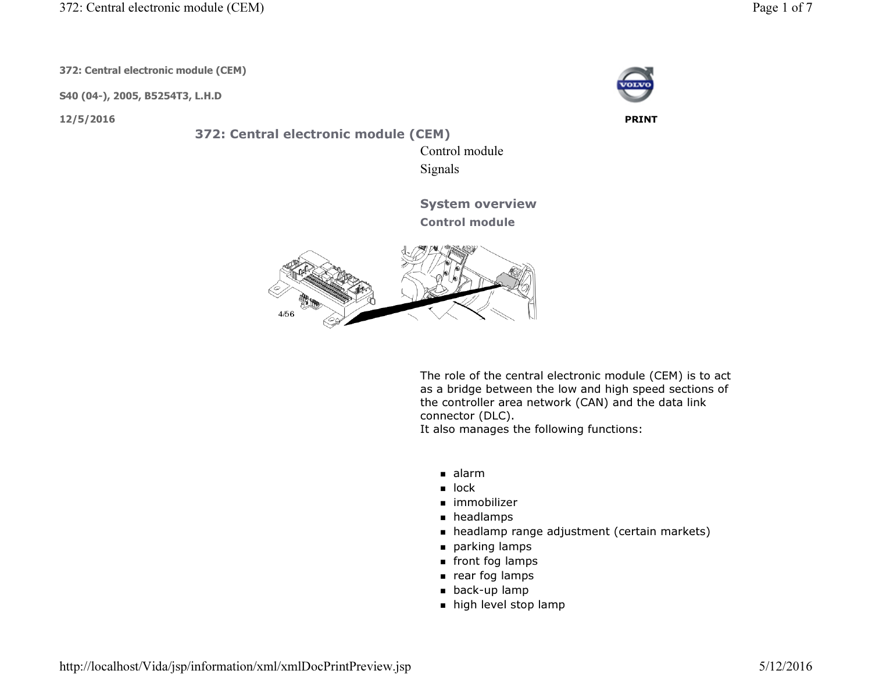372: Central electronic module (CEM)

372: Central electronic module (CEM)

S40 (04-), 2005, B5254T3, L.H.D

372: Central electronic module (CEM)

4/56

 Control moduleSignals

System overview

Control module

The role of the central electronic module (CEM) is to act as a bridge between the low and high speed sections of the controller area network (CAN) and the data link connector (DLC).

It also manages the following functions:

- alarm
- $\blacksquare$  lock
- immobilizer
- headlamps
- headlamp range adjustment (certain markets)
- parking lamps
- front fog lamps
- $\blacksquare$  rear fog lamps
- back-up lamp
- $\blacksquare$  high level stop lamp



12/5/2016 PRINT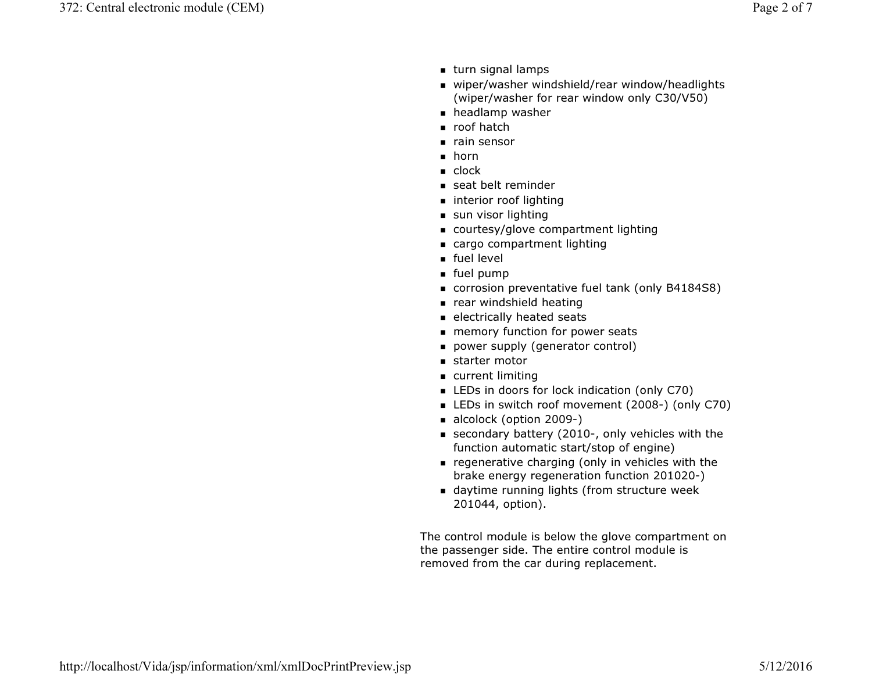- turn signal lamps
- wiper/washer windshield/rear window/headlights (wiper/washer for rear window only C30/V50)
- headlamp washer
- roof hatch
- rain sensor
- ∎ horn
- clock
- seat belt reminder
- **n** interior roof lighting
- $\blacksquare$  sun visor lighting
- courtesy/glove compartment lighting
- cargo compartment lighting
- $\blacksquare$  fuel level
- fuel pump
- corrosion preventative fuel tank (only B4184S8)
- rear windshield heating
- $\blacksquare$  electrically heated seats
- memory function for power seats
- power supply (generator control)
- starter motor
- current limiting
- LEDs in doors for lock indication (only C70)
- LEDs in switch roof movement (2008-) (only C70)
- alcolock (option 2009-)
- secondary battery (2010-, only vehicles with the function automatic start/stop of engine)
- $\blacksquare$  regenerative charging (only in vehicles with the brake energy regeneration function 201020-)
- daytime running lights (from structure week 201044, option).

The control module is below the glove compartment on the passenger side. The entire control module is removed from the car during replacement.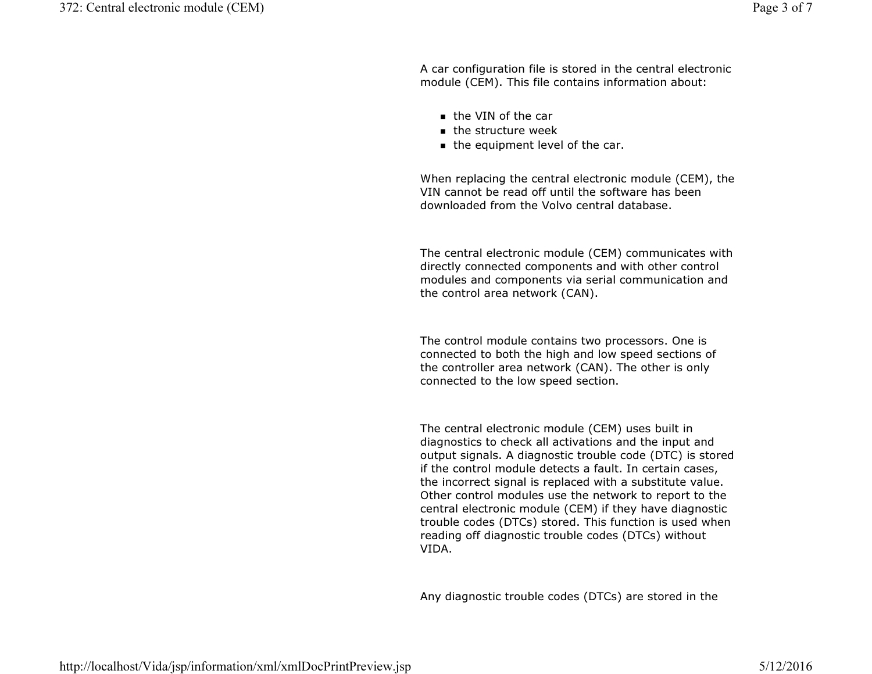A car configuration file is stored in the central electronic module (CEM). This file contains information about:

- the VIN of the car
- $\blacksquare$  the structure week
- the equipment level of the car.

When replacing the central electronic module (CEM), the VIN cannot be read off until the software has been downloaded from the Volvo central database.

The central electronic module (CEM) communicates with directly connected components and with other control modules and components via serial communication and the control area network (CAN).

The control module contains two processors. One is connected to both the high and low speed sections of the controller area network (CAN). The other is only connected to the low speed section.

The central electronic module (CEM) uses built in diagnostics to check all activations and the input and output signals. A diagnostic trouble code (DTC) is stored if the control module detects a fault. In certain cases, the incorrect signal is replaced with a substitute value. Other control modules use the network to report to the central electronic module (CEM) if they have diagnostic trouble codes (DTCs) stored. This function is used when reading off diagnostic trouble codes (DTCs) without VIDA.

Any diagnostic trouble codes (DTCs) are stored in the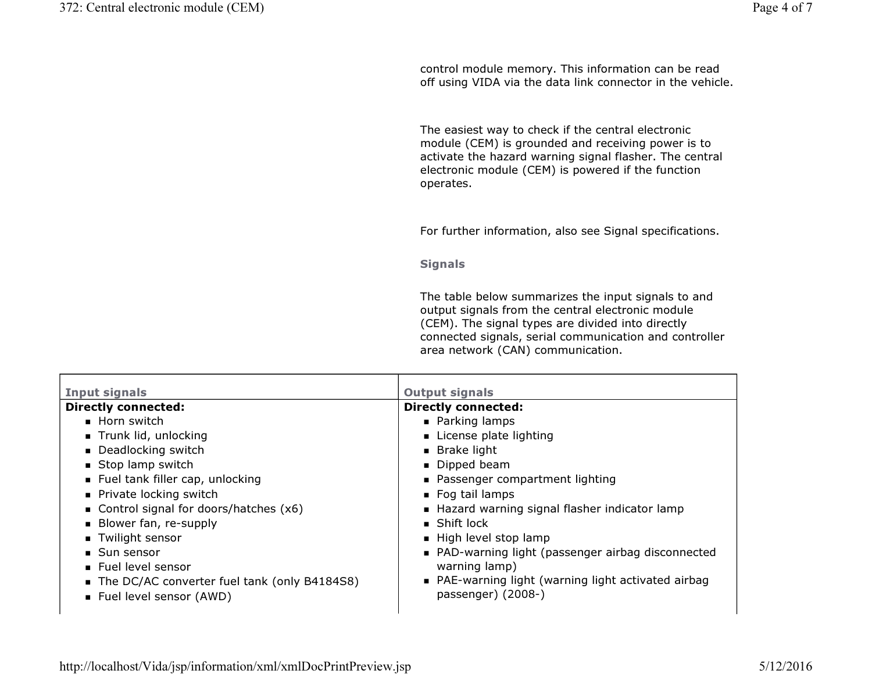control module memory. This information can be read off using VIDA via the data link connector in the vehicle.

The easiest way to check if the central electronic module (CEM) is grounded and receiving power is to activate the hazard warning signal flasher. The central electronic module (CEM) is powered if the function operates.

For further information, also see Signal specifications.

**Signals** 

The table below summarizes the input signals to and output signals from the central electronic module (CEM). The signal types are divided into directly connected signals, serial communication and controller area network (CAN) communication.

| <b>Input signals</b>                           | <b>Output signals</b>                              |
|------------------------------------------------|----------------------------------------------------|
| <b>Directly connected:</b>                     | <b>Directly connected:</b>                         |
| $\blacksquare$ Horn switch                     | • Parking lamps                                    |
| Trunk lid, unlocking                           | License plate lighting                             |
| • Deadlocking switch                           | $\blacksquare$ Brake light                         |
| Stop lamp switch                               | Dipped beam                                        |
| ■ Fuel tank filler cap, unlocking              | ■ Passenger compartment lighting                   |
| • Private locking switch                       | ■ Fog tail lamps                                   |
| Control signal for doors/hatches $(x6)$        | Hazard warning signal flasher indicator lamp       |
| Blower fan, re-supply                          | $\blacksquare$ Shift lock                          |
| ■ Twilight sensor                              | High level stop lamp                               |
| ■ Sun sensor                                   | • PAD-warning light (passenger airbag disconnected |
| Fuel level sensor                              | warning lamp)                                      |
| ■ The DC/AC converter fuel tank (only B4184S8) | PAE-warning light (warning light activated airbag  |
| ■ Fuel level sensor (AWD)                      | passenger) (2008-)                                 |
|                                                |                                                    |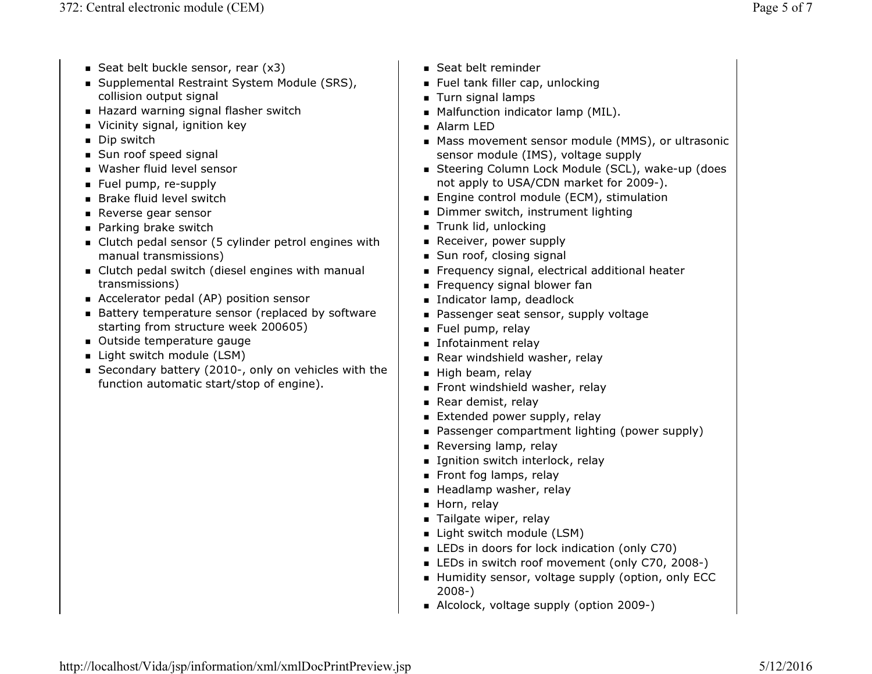- Seat belt buckle sensor, rear  $(x3)$
- Supplemental Restraint System Module (SRS), collision output signal
- $\blacksquare$  Hazard warning signal flasher switch
- Vicinity signal, ignition key
- Dip switch
- Sun roof speed signal
- Washer fluid level sensor
- Fuel pump, re-supply
- Brake fluid level switch
- Reverse gear sensor
- Parking brake switch
- Clutch pedal sensor (5 cylinder petrol engines with manual transmissions)
- Clutch pedal switch (diesel engines with manual transmissions)
- Accelerator pedal (AP) position sensor
- Battery temperature sensor (replaced by software starting from structure week 200605)
- Outside temperature gauge
- Light switch module (LSM)
- Secondary battery (2010-, only on vehicles with the function automatic start/stop of engine).
- Seat belt reminder
- Fuel tank filler cap, unlocking
- Turn signal lamps
- Malfunction indicator lamp (MIL).
- Alarm LED
- Mass movement sensor module (MMS), or ultrasonic sensor module (IMS), voltage supply
- Steering Column Lock Module (SCL), wake-up (does not apply to USA/CDN market for 2009-).
- Engine control module (ECM), stimulation
- Dimmer switch, instrument lighting
- $\blacksquare$  Trunk lid, unlocking
- $\blacksquare$  Receiver, power supply
- Sun roof, closing signal
- Frequency signal, electrical additional heater
- Frequency signal blower fan
- Indicator lamp, deadlock
- Passenger seat sensor, supply voltage
- Fuel pump, relay
- Infotainment relay
- Rear windshield washer, relay
- $\blacksquare$  High beam, relay
- $\blacksquare$  Front windshield washer, relay
- Rear demist, relay
- Extended power supply, relay
- Passenger compartment lighting (power supply)
- Reversing lamp, relay
- Ignition switch interlock, relay
- Front fog lamps, relay
- Headlamp washer, relay
- $\blacksquare$  Horn, relay
- Tailgate wiper, relay
- $\blacksquare$  Light switch module (LSM)
- LEDs in doors for lock indication (only C70)
- LEDs in switch roof movement (only C70, 2008-)
- Humidity sensor, voltage supply (option, only ECC 2008-)
- Alcolock, voltage supply (option 2009-)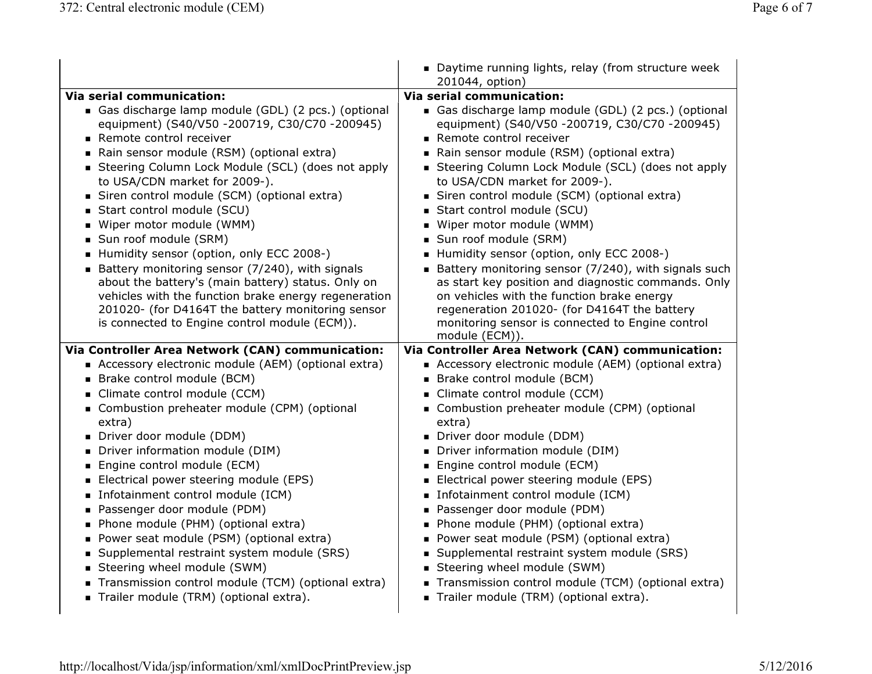|                                                                                                                                                                                                                                                                                                                                                                                                                                                                                                                                                                                                                                                                                                                                                                              | • Daytime running lights, relay (from structure week<br>201044, option)                                                                                                                                                                                                                                                                                                                                                                                                                                                                                                                                                                                                                                                                                                                |
|------------------------------------------------------------------------------------------------------------------------------------------------------------------------------------------------------------------------------------------------------------------------------------------------------------------------------------------------------------------------------------------------------------------------------------------------------------------------------------------------------------------------------------------------------------------------------------------------------------------------------------------------------------------------------------------------------------------------------------------------------------------------------|----------------------------------------------------------------------------------------------------------------------------------------------------------------------------------------------------------------------------------------------------------------------------------------------------------------------------------------------------------------------------------------------------------------------------------------------------------------------------------------------------------------------------------------------------------------------------------------------------------------------------------------------------------------------------------------------------------------------------------------------------------------------------------------|
| <b>Via serial communication:</b>                                                                                                                                                                                                                                                                                                                                                                                                                                                                                                                                                                                                                                                                                                                                             | <b>Via serial communication:</b>                                                                                                                                                                                                                                                                                                                                                                                                                                                                                                                                                                                                                                                                                                                                                       |
| Gas discharge lamp module (GDL) (2 pcs.) (optional<br>equipment) (S40/V50 -200719, C30/C70 -200945)<br>Remote control receiver<br>Rain sensor module (RSM) (optional extra)<br>Steering Column Lock Module (SCL) (does not apply<br>to USA/CDN market for 2009-).<br>Siren control module (SCM) (optional extra)<br>Start control module (SCU)<br>■ Wiper motor module (WMM)<br>Sun roof module (SRM)<br>Humidity sensor (option, only ECC 2008-)<br>Battery monitoring sensor (7/240), with signals<br>about the battery's (main battery) status. Only on<br>vehicles with the function brake energy regeneration<br>201020- (for D4164T the battery monitoring sensor<br>is connected to Engine control module (ECM)).<br>Via Controller Area Network (CAN) communication: | Gas discharge lamp module (GDL) (2 pcs.) (optional<br>equipment) (S40/V50 -200719, C30/C70 -200945)<br>Remote control receiver<br>Rain sensor module (RSM) (optional extra)<br>Steering Column Lock Module (SCL) (does not apply<br>to USA/CDN market for 2009-).<br>Siren control module (SCM) (optional extra)<br>Start control module (SCU)<br>Wiper motor module (WMM)<br>Sun roof module (SRM)<br>Humidity sensor (option, only ECC 2008-)<br>Battery monitoring sensor (7/240), with signals such<br>as start key position and diagnostic commands. Only<br>on vehicles with the function brake energy<br>regeneration 201020- (for D4164T the battery<br>monitoring sensor is connected to Engine control<br>module (ECM)).<br>Via Controller Area Network (CAN) communication: |
| Accessory electronic module (AEM) (optional extra)                                                                                                                                                                                                                                                                                                                                                                                                                                                                                                                                                                                                                                                                                                                           | Accessory electronic module (AEM) (optional extra)                                                                                                                                                                                                                                                                                                                                                                                                                                                                                                                                                                                                                                                                                                                                     |
| Brake control module (BCM)                                                                                                                                                                                                                                                                                                                                                                                                                                                                                                                                                                                                                                                                                                                                                   | Brake control module (BCM)                                                                                                                                                                                                                                                                                                                                                                                                                                                                                                                                                                                                                                                                                                                                                             |
| Climate control module (CCM)                                                                                                                                                                                                                                                                                                                                                                                                                                                                                                                                                                                                                                                                                                                                                 | Climate control module (CCM)                                                                                                                                                                                                                                                                                                                                                                                                                                                                                                                                                                                                                                                                                                                                                           |
| Combustion preheater module (CPM) (optional<br>extra)                                                                                                                                                                                                                                                                                                                                                                                                                                                                                                                                                                                                                                                                                                                        | Combustion preheater module (CPM) (optional<br>extra)                                                                                                                                                                                                                                                                                                                                                                                                                                                                                                                                                                                                                                                                                                                                  |
| Driver door module (DDM)                                                                                                                                                                                                                                                                                                                                                                                                                                                                                                                                                                                                                                                                                                                                                     | Driver door module (DDM)                                                                                                                                                                                                                                                                                                                                                                                                                                                                                                                                                                                                                                                                                                                                                               |
| Driver information module (DIM)                                                                                                                                                                                                                                                                                                                                                                                                                                                                                                                                                                                                                                                                                                                                              | Driver information module (DIM)                                                                                                                                                                                                                                                                                                                                                                                                                                                                                                                                                                                                                                                                                                                                                        |
| ■ Engine control module (ECM)                                                                                                                                                                                                                                                                                                                                                                                                                                                                                                                                                                                                                                                                                                                                                | ■ Engine control module (ECM)                                                                                                                                                                                                                                                                                                                                                                                                                                                                                                                                                                                                                                                                                                                                                          |
| Electrical power steering module (EPS)                                                                                                                                                                                                                                                                                                                                                                                                                                                                                                                                                                                                                                                                                                                                       | Electrical power steering module (EPS)                                                                                                                                                                                                                                                                                                                                                                                                                                                                                                                                                                                                                                                                                                                                                 |
| Infotainment control module (ICM)                                                                                                                                                                                                                                                                                                                                                                                                                                                                                                                                                                                                                                                                                                                                            | Infotainment control module (ICM)                                                                                                                                                                                                                                                                                                                                                                                                                                                                                                                                                                                                                                                                                                                                                      |
| Passenger door module (PDM)<br>• Phone module (PHM) (optional extra)                                                                                                                                                                                                                                                                                                                                                                                                                                                                                                                                                                                                                                                                                                         | Passenger door module (PDM)<br>• Phone module (PHM) (optional extra)                                                                                                                                                                                                                                                                                                                                                                                                                                                                                                                                                                                                                                                                                                                   |
| • Power seat module (PSM) (optional extra)                                                                                                                                                                                                                                                                                                                                                                                                                                                                                                                                                                                                                                                                                                                                   | • Power seat module (PSM) (optional extra)                                                                                                                                                                                                                                                                                                                                                                                                                                                                                                                                                                                                                                                                                                                                             |
| • Supplemental restraint system module (SRS)                                                                                                                                                                                                                                                                                                                                                                                                                                                                                                                                                                                                                                                                                                                                 | • Supplemental restraint system module (SRS)                                                                                                                                                                                                                                                                                                                                                                                                                                                                                                                                                                                                                                                                                                                                           |
| Steering wheel module (SWM)                                                                                                                                                                                                                                                                                                                                                                                                                                                                                                                                                                                                                                                                                                                                                  | Steering wheel module (SWM)                                                                                                                                                                                                                                                                                                                                                                                                                                                                                                                                                                                                                                                                                                                                                            |
| Transmission control module (TCM) (optional extra)                                                                                                                                                                                                                                                                                                                                                                                                                                                                                                                                                                                                                                                                                                                           | Transmission control module (TCM) (optional extra)                                                                                                                                                                                                                                                                                                                                                                                                                                                                                                                                                                                                                                                                                                                                     |
| Trailer module (TRM) (optional extra).                                                                                                                                                                                                                                                                                                                                                                                                                                                                                                                                                                                                                                                                                                                                       | Trailer module (TRM) (optional extra).                                                                                                                                                                                                                                                                                                                                                                                                                                                                                                                                                                                                                                                                                                                                                 |